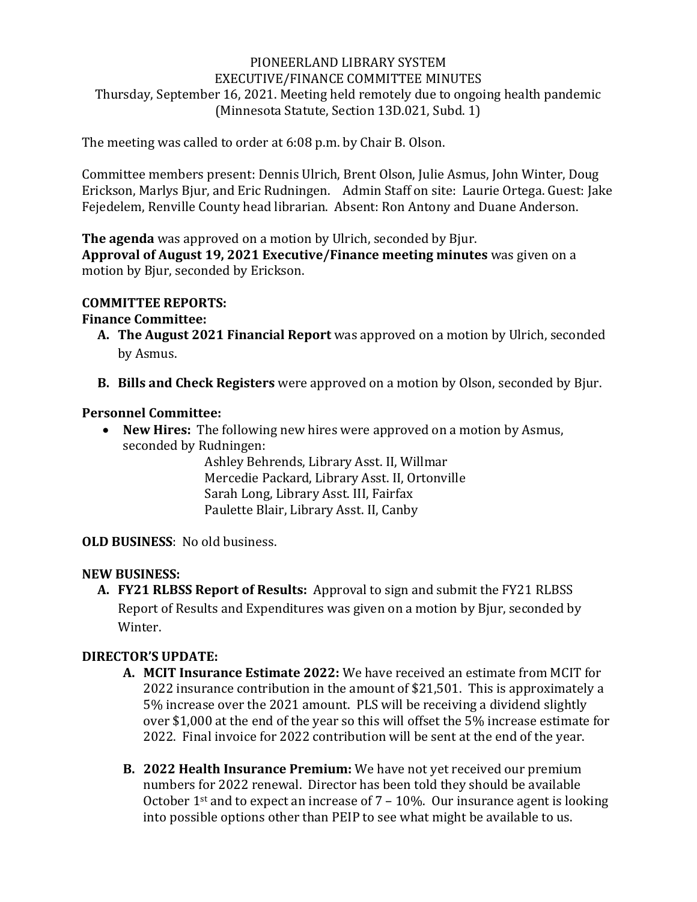#### PIONEERLAND LIBRARY SYSTEM EXECUTIVE/FINANCE COMMITTEE MINUTES Thursday, September 16, 2021. Meeting held remotely due to ongoing health pandemic (Minnesota Statute, Section 13D.021, Subd. 1)

The meeting was called to order at 6:08 p.m. by Chair B. Olson.

Committee members present: Dennis Ulrich, Brent Olson, Julie Asmus, John Winter, Doug Erickson, Marlys Bjur, and Eric Rudningen. Admin Staff on site: Laurie Ortega. Guest: Jake Fejedelem, Renville County head librarian. Absent: Ron Antony and Duane Anderson.

**The agenda** was approved on a motion by Ulrich, seconded by Bjur.

**Approval of August 19, 2021 Executive/Finance meeting minutes** was given on a motion by Bjur, seconded by Erickson.

#### **COMMITTEE REPORTS:**

## **Finance Committee:**

- **A. The August 2021 Financial Report** was approved on a motion by Ulrich, seconded by Asmus.
- **B. Bills and Check Registers** were approved on a motion by Olson, seconded by Bjur.

## **Personnel Committee:**

• **New Hires:** The following new hires were approved on a motion by Asmus, seconded by Rudningen:

Ashley Behrends, Library Asst. II, Willmar Mercedie Packard, Library Asst. II, Ortonville Sarah Long, Library Asst. III, Fairfax Paulette Blair, Library Asst. II, Canby

**OLD BUSINESS**: No old business.

# **NEW BUSINESS:**

**A. FY21 RLBSS Report of Results:** Approval to sign and submit the FY21 RLBSS Report of Results and Expenditures was given on a motion by Bjur, seconded by Winter.

# **DIRECTOR'S UPDATE:**

- **A. MCIT Insurance Estimate 2022:** We have received an estimate from MCIT for 2022 insurance contribution in the amount of \$21,501. This is approximately a 5% increase over the 2021 amount. PLS will be receiving a dividend slightly over \$1,000 at the end of the year so this will offset the 5% increase estimate for 2022. Final invoice for 2022 contribution will be sent at the end of the year.
- **B. 2022 Health Insurance Premium:** We have not yet received our premium numbers for 2022 renewal. Director has been told they should be available October 1<sup>st</sup> and to expect an increase of  $7 - 10\%$ . Our insurance agent is looking into possible options other than PEIP to see what might be available to us.